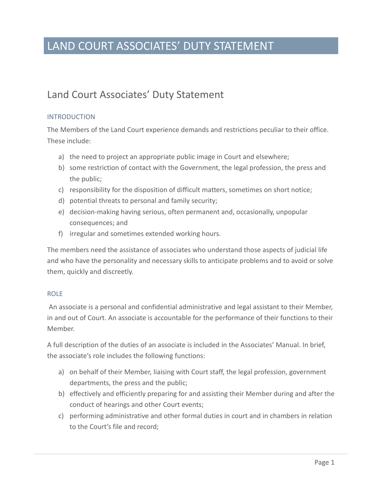# LAND COURT ASSOCIATES' DUTY STATEMENT

### Land Court Associates' Duty Statement

#### INTRODUCTION

The Members of the Land Court experience demands and restrictions peculiar to their office. These include:

- a) the need to project an appropriate public image in Court and elsewhere;
- b) some restriction of contact with the Government, the legal profession, the press and the public;
- c) responsibility for the disposition of difficult matters, sometimes on short notice;
- d) potential threats to personal and family security;
- e) decision-making having serious, often permanent and, occasionally, unpopular consequences; and
- f) irregular and sometimes extended working hours.

The members need the assistance of associates who understand those aspects of judicial life and who have the personality and necessary skills to anticipate problems and to avoid or solve them, quickly and discreetly.

#### ROLE

An associate is a personal and confidential administrative and legal assistant to their Member, in and out of Court. An associate is accountable for the performance of their functions to their Member.

A full description of the duties of an associate is included in the Associates' Manual. In brief, the associate's role includes the following functions:

- a) on behalf of their Member, liaising with Court staff, the legal profession, government departments, the press and the public;
- b) effectively and efficiently preparing for and assisting their Member during and after the conduct of hearings and other Court events;
- c) performing administrative and other formal duties in court and in chambers in relation to the Court's file and record;